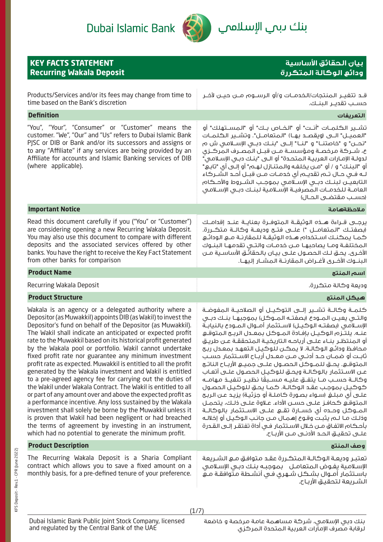

بنك ىبم ال<mark>إسلام</mark>ي

| <b>KEY FACTS STATEMENT</b><br><b>Recurring Wakala Deposit</b>                                                                                                                                                                                                                                                                                                                                                                                                                                                                                                                                                                                                                                                                                                                                                                                                                                                                                                                                                                                                                | بيان الحقائق الأساسية<br>ودائع الوكالة المتكررة                                                                                                                                                                                                                                                                                                                                                                                                                                                                                                                                                                                                                                                                                                                                                                                                                                                                                                                                                                                                                                                                          |
|------------------------------------------------------------------------------------------------------------------------------------------------------------------------------------------------------------------------------------------------------------------------------------------------------------------------------------------------------------------------------------------------------------------------------------------------------------------------------------------------------------------------------------------------------------------------------------------------------------------------------------------------------------------------------------------------------------------------------------------------------------------------------------------------------------------------------------------------------------------------------------------------------------------------------------------------------------------------------------------------------------------------------------------------------------------------------|--------------------------------------------------------------------------------------------------------------------------------------------------------------------------------------------------------------------------------------------------------------------------------------------------------------------------------------------------------------------------------------------------------------------------------------------------------------------------------------------------------------------------------------------------------------------------------------------------------------------------------------------------------------------------------------------------------------------------------------------------------------------------------------------------------------------------------------------------------------------------------------------------------------------------------------------------------------------------------------------------------------------------------------------------------------------------------------------------------------------------|
| Products/Services and/or its fees may change from time to<br>time based on the Bank's discretion                                                                                                                                                                                                                                                                                                                                                                                                                                                                                                                                                                                                                                                                                                                                                                                                                                                                                                                                                                             | حســب تقديــر الـبنــك.                                                                                                                                                                                                                                                                                                                                                                                                                                                                                                                                                                                                                                                                                                                                                                                                                                                                                                                                                                                                                                                                                                  |
| <b>Definition</b>                                                                                                                                                                                                                                                                                                                                                                                                                                                                                                                                                                                                                                                                                                                                                                                                                                                                                                                                                                                                                                                            | التعريفات                                                                                                                                                                                                                                                                                                                                                                                                                                                                                                                                                                                                                                                                                                                                                                                                                                                                                                                                                                                                                                                                                                                |
| "You", "Your", "Consumer" or "Customer" means the<br>customer. "We", "Our" and "Us" refers to Dubai Islamic Bank<br>PISC or DIB or Bank and/or its successors and assigns or<br>to any "Affiliate" if any services are being provided by an<br>Affiliate for accounts and Islamic Banking services of DIB<br>(where applicable).                                                                                                                                                                                                                                                                                                                                                                                                                                                                                                                                                                                                                                                                                                                                             | تشـــير الـكـلمــات "أنــت" أو "الـفــاص بــك" أو "الـمســتهلك" أو<br>"العميـــل" الــــى (ويقصـــد بهــا) "الـمتعامـــل". وتشـــير الـكـلمــات<br>"نحــــن" و "خاصتنــــا" و "لنـــا" إلــــى "بنـــك دبـــى الإســـلامــى ش م<br>ع، شــركة مرخصـة ومؤسسـة مــن قبــل المصـرف المركــزى<br>لدولـة الإمـارات الـعربيـة الـمـتحـدة" أو الــى "بنـك دبـى الإسـلامـى"<br>أو "البنـك" و / أو "مـن يخلفـه والـمتنـازل لـهـم" أو إلـى أي "تابـع"<br>لــه فــى حــال تــم تقديــم أى خدمــات مــن قبــل أحــد الشــركاء<br>التابعيــن لبنــك دبــى الإســلامـى بموجـب الشــروط والأحــكام<br>العامــة للخدمــات المصرفيــة الإســلامية لبنــك دبــى الإســلامـى<br>(حسب مقتضى الحـال)                                                                                                                                                                                                                                                                                                                                                                                                                                           |
| <b>Important Notice</b>                                                                                                                                                                                                                                                                                                                                                                                                                                                                                                                                                                                                                                                                                                                                                                                                                                                                                                                                                                                                                                                      | ملاحظةهامة                                                                                                                                                                                                                                                                                                                                                                                                                                                                                                                                                                                                                                                                                                                                                                                                                                                                                                                                                                                                                                                                                                               |
| Read this document carefully if you ("You" or "Customer")<br>are considering opening a new Recurring Wakala Deposit.<br>You may also use this document to compare with different<br>deposits and the associated services offered by other<br>banks. You have the right to receive the Key Fact Statement<br>from other banks for comparison                                                                                                                                                                                                                                                                                                                                                                                                                                                                                                                                                                                                                                                                                                                                  | يرجــي قــراءة هـــذه الـوثيقــة الـمـتوفــرة بـعنايــة عنــد إقدامــك<br>(بصفتـك "المتعامــل ") علـــى فتــح وديعــة وكالــة متكــررة.<br>كمـا يمكنـك اسـتخدام هـذه الوثيقـة للمقارنـة مـع الـودائـع<br>المختلفـة ومـا يصاحبهـا مـن خدمـات والتـى تقدمهـا البنـوك<br>الأخرى. يحق لـك الحصـول علــى بيـان بالحقائـق الأساسـية مــن<br>البنــوك الأفــرى لأغــراض الـمقارنــة الـمشــار إلـيهــا.                                                                                                                                                                                                                                                                                                                                                                                                                                                                                                                                                                                                                                                                                                                         |
| <b>Product Name</b>                                                                                                                                                                                                                                                                                                                                                                                                                                                                                                                                                                                                                                                                                                                                                                                                                                                                                                                                                                                                                                                          | اسم المنتج                                                                                                                                                                                                                                                                                                                                                                                                                                                                                                                                                                                                                                                                                                                                                                                                                                                                                                                                                                                                                                                                                                               |
| Recurring Wakala Deposit                                                                                                                                                                                                                                                                                                                                                                                                                                                                                                                                                                                                                                                                                                                                                                                                                                                                                                                                                                                                                                                     | وديعة وكالة متكررة.                                                                                                                                                                                                                                                                                                                                                                                                                                                                                                                                                                                                                                                                                                                                                                                                                                                                                                                                                                                                                                                                                                      |
| <b>Product Structure</b>                                                                                                                                                                                                                                                                                                                                                                                                                                                                                                                                                                                                                                                                                                                                                                                                                                                                                                                                                                                                                                                     | هيكل المنتج                                                                                                                                                                                                                                                                                                                                                                                                                                                                                                                                                                                                                                                                                                                                                                                                                                                                                                                                                                                                                                                                                                              |
| Wakala is an agency or a delegated authority where a<br>Depositor (as Muwakkil) appoints DIB (as Wakil) to invest the<br>Depositor's fund on behalf of the Depositor (as Muwakkil).<br>The Wakil shall indicate an anticipated or expected profit<br>rate to the Muwakkil based on its historical profit generated<br>by the Wakala pool or portfolio. Wakil cannot undertake<br>fixed profit rate nor guarantee any minimum investment<br>profit rate as expected. Muwakkil is entitled to all the profit<br>generated by the Wakala investment and Wakil is entitled<br>to a pre-agreed agency fee for carrying out the duties of<br>the Wakil under Wakala Contract. The Wakil is entitled to all<br>or part of any amount over and above the expected profit as<br>a performance incentive. Any loss sustained by the Wakala<br>investment shall solely be borne by the Muwakkil unless it<br>is proven that Wakil had been negligent or had breached<br>the terms of agreement by investing in an instrument,<br>which had no potential to generate the minimum profit. | كـلمــة وكالــة تشــير إلـــى التوكـيــل أو الصلاحيــة الـمفوضــة<br>والتـَّـى يعيـن المـودع (بصفتـه المـوكل) بموجبهـا بنـك دبـى<br>الإسـلامـى (بصفتـه الـوكيـل) لاسـتثمار أمــوال الـمــودع بالنيابـة<br>عنـه. يلتـزم الوكيـل بإفـادة المـوكل بمعـدل الربـج المتوقـع<br>أو المنتظر بنـاء علـى أرباحـه التاريخيـة المتحققـة عـن طريـق<br>محافظ ودائع الوكالـة. لا يمكـن للوكيـل التعهـد بمعـدل ربح<br>ثابـت أو ضمــان حــد أدنــى مــن مـعــدل أربــاح الاســتثمار حســب<br>المتوقـــع. يحـــق للمــوكل الحصــول علـــى جميـــع الأربــاح الناتــج<br>عـن الاسـتثمار بالوكالـة ويحـق للوكيـل الحصـول علـى أتعـاب<br>وكالــة حســب مــا يتفــق عليــه مســبقًا نظيــر تنفيــذ مـهامــه<br>كوكيل بموجب عقد الوكالة. كما يحق للوكيل الحصول<br>علـــى أي مـبـلــــفي (ســـواء بـصـــورة كــامـلــة أو جزئيــة) يـزيــد عـــن الـربــح<br>المتوقـع كـحافـز علــى حســن الأداء. عــلاوة علــى ذلـك، يتحمــل<br>المـــوكـل وحـــده أي خســـارة تقـــع علـــى الاســـتثمار بالـوكالـــة<br>وذلك مـا لــم يثبـت وقـوع إهـمـال مــن جانـب الـوكـيـل أو إخلالـه<br>بأحكام الاتفاق مـن خـلال الاسـتثمار فـى أداة تفتقـر إلـى القـدرة |
| <b>Product Description</b>                                                                                                                                                                                                                                                                                                                                                                                                                                                                                                                                                                                                                                                                                                                                                                                                                                                                                                                                                                                                                                                   | وصف المنتج                                                                                                                                                                                                                                                                                                                                                                                                                                                                                                                                                                                                                                                                                                                                                                                                                                                                                                                                                                                                                                                                                                               |
| The Recurring Wakala Deposit is a Sharia Compliant<br>contract which allows you to save a fixed amount on a<br>monthly basis, for a pre-defined tenure of your preference.                                                                                                                                                                                                                                                                                                                                                                                                                                                                                                                                                                                                                                                                                                                                                                                                                                                                                                   | تعتبر وديعة الوكالة المتكررة عقد متوافق مع الشريعة<br>الإسلامية يفوض المتعامل بموجبه بنك دبى الإسلامى<br>باسـتثمار أمـوال بشكل شـهرى فـى أنشـطة مـتوافقـة مـع<br>الشـريعة لتحقيق الأرباح.                                                                                                                                                                                                                                                                                                                                                                                                                                                                                                                                                                                                                                                                                                                                                                                                                                                                                                                                |

Dubai Islamic Bank Public Joint Stock Company, licensed and regulated by the Central Bank of the UAE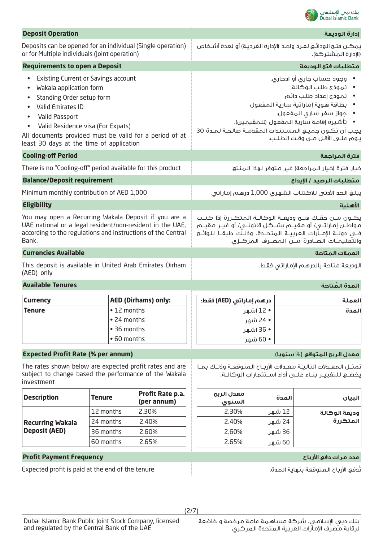

| <b>Deposit Operation</b>                                                                                                                                                                                                                                                                           |                                                          |                                                                                            |                         |                                                                                                                                                                                                                                                                                             | إدارة الوديعة                                                                                                                                                                                                                                                                    |
|----------------------------------------------------------------------------------------------------------------------------------------------------------------------------------------------------------------------------------------------------------------------------------------------------|----------------------------------------------------------|--------------------------------------------------------------------------------------------|-------------------------|---------------------------------------------------------------------------------------------------------------------------------------------------------------------------------------------------------------------------------------------------------------------------------------------|----------------------------------------------------------------------------------------------------------------------------------------------------------------------------------------------------------------------------------------------------------------------------------|
| Deposits can be opened for an individual (Single operation)<br>or for Multiple individuals (Joint operation)                                                                                                                                                                                       |                                                          | يمكـن فتح الـودائـع لغـرد واحـد (الإدارة الـفرديـة) أو لـعدة أشـخاص<br>(الإدارة المشتركة). |                         |                                                                                                                                                                                                                                                                                             |                                                                                                                                                                                                                                                                                  |
| <b>Requirements to open a Deposit</b>                                                                                                                                                                                                                                                              |                                                          |                                                                                            |                         |                                                                                                                                                                                                                                                                                             | متطلبات فتح الوديعة                                                                                                                                                                                                                                                              |
| <b>Existing Current or Savings account</b><br>Wakala application form<br>Standing Order setup form<br>Valid Emirates ID<br>Valid Passport<br>Valid Residence visa (For Expats)<br>$\bullet$<br>All documents provided must be valid for a period of at<br>least 30 days at the time of application |                                                          |                                                                                            |                         | وجود حساب جاري أو ادخارى.<br>• نموذج طلب الوكالة.<br>• نموذج إعداد طلب دائم<br>• بطاقة هوية إماراتية سارية المفعول<br>• جواز سفر سارى المفعول.<br>•     تأشيرة إقامة سارية المفعول (للمقيمين).<br>يجب أن تكـون جميـع المسـتندات المقدمـة صالحـة لمـدة 30<br>يوم علـى الأقـل مـن وقت الطلـب. |                                                                                                                                                                                                                                                                                  |
| <b>Cooling-off Period</b>                                                                                                                                                                                                                                                                          |                                                          |                                                                                            |                         |                                                                                                                                                                                                                                                                                             | فترة المراجعة                                                                                                                                                                                                                                                                    |
| There is no "Cooling-off" period available for this product                                                                                                                                                                                                                                        |                                                          |                                                                                            |                         |                                                                                                                                                                                                                                                                                             | خيار فترة (خيار المراجعة) غير متوفر لهذا المنتج.                                                                                                                                                                                                                                 |
| <b>Balance/Deposit requirement</b>                                                                                                                                                                                                                                                                 |                                                          |                                                                                            |                         |                                                                                                                                                                                                                                                                                             | متطلبات الرصيد / الإيداع                                                                                                                                                                                                                                                         |
| Minimum monthly contribution of AED 1,000                                                                                                                                                                                                                                                          |                                                          |                                                                                            |                         |                                                                                                                                                                                                                                                                                             | يبلغ الحد الأدنى للاكتتاب الشهرى 1,000 درهم إماراتى                                                                                                                                                                                                                              |
| <b>Eligibility</b>                                                                                                                                                                                                                                                                                 |                                                          |                                                                                            |                         |                                                                                                                                                                                                                                                                                             | الأهلية                                                                                                                                                                                                                                                                          |
| You may open a Recurring Wakala Deposit if you are a<br>UAE national or a legal resident/non-resident in the UAE,<br>according to the regulations and instructions of the Central<br>Bank.                                                                                                         |                                                          |                                                                                            |                         |                                                                                                                                                                                                                                                                                             | يكـــون مـــن حقــك فتـــح وديعـــة الـوكالـــة الـمتكـــررة إذا كـنــت<br>مواطــن إماراتــي/ أو مـقيـــم بشــكـل قانونــي/ أو غيــر مـقيــم<br>فــى دولــة الإمـــارات الـعربيــة الـمـتحـــدة، وذلــك طبقــا لـلـوائــح<br>والتعليمــات الصــادرة مـــن الـمصــرف الـمـركــزى. |
| <b>Currencies Available</b>                                                                                                                                                                                                                                                                        |                                                          |                                                                                            |                         |                                                                                                                                                                                                                                                                                             | العملات المتاحة                                                                                                                                                                                                                                                                  |
| This deposit is available in United Arab Emirates Dirham<br>(AED) only                                                                                                                                                                                                                             |                                                          |                                                                                            |                         |                                                                                                                                                                                                                                                                                             | الوديعة متاحة بالدرهم الإماراتي فقط.                                                                                                                                                                                                                                             |
| <b>Available Tenures</b>                                                                                                                                                                                                                                                                           |                                                          |                                                                                            |                         |                                                                                                                                                                                                                                                                                             | المدة المُتاحة                                                                                                                                                                                                                                                                   |
| <b>Currency</b>                                                                                                                                                                                                                                                                                    |                                                          | <b>AED (Dirhams) only:</b>                                                                 | درهم إماراتي (AED) فقط: |                                                                                                                                                                                                                                                                                             | العملة                                                                                                                                                                                                                                                                           |
| <b>Tenure</b>                                                                                                                                                                                                                                                                                      | • 12 months<br>• 24 months<br>• 36 months<br>• 60 months |                                                                                            |                         | • 12 اشهر<br>• 24 شهر<br>• 36 اشهر<br>• 60 شهر                                                                                                                                                                                                                                              | المدة                                                                                                                                                                                                                                                                            |
| <b>Expected Profit Rate (% per annum)</b>                                                                                                                                                                                                                                                          |                                                          |                                                                                            |                         |                                                                                                                                                                                                                                                                                             | معدل الربح المتوقع (% سنويا)                                                                                                                                                                                                                                                     |
| The rates shown below are expected profit rates and are<br>subject to change based the performance of the Wakala<br>investment                                                                                                                                                                     |                                                          |                                                                                            |                         |                                                                                                                                                                                                                                                                                             | تمثـل المعـدلات التاليـة معـدلات الأربـاح المتوقعـة وذلـك بمـا<br>يخضــــــع لـلـتغييـــر  بنـــاء علـــــى أداء اســـتثمارات الـوكالـــة.                                                                                                                                       |
| <b>Description</b>                                                                                                                                                                                                                                                                                 | <b>Tenure</b>                                            | Profit Rate p.a.<br>(per annum)                                                            | معدل الربح<br>السنوى    | المدة                                                                                                                                                                                                                                                                                       | البيان                                                                                                                                                                                                                                                                           |
|                                                                                                                                                                                                                                                                                                    | 12 months                                                | 2.30%                                                                                      | 2.30%                   | 12 شھر                                                                                                                                                                                                                                                                                      | وديعة الوكالة                                                                                                                                                                                                                                                                    |
| <b>Recurring Wakala</b>                                                                                                                                                                                                                                                                            | 24 months                                                | 2.40%                                                                                      | 2.40%                   | 24 شھر                                                                                                                                                                                                                                                                                      | المتكررة                                                                                                                                                                                                                                                                         |
| <b>Deposit (AED)</b>                                                                                                                                                                                                                                                                               | 36 months                                                | 2.60%                                                                                      | 2.60%                   | 36 شھر                                                                                                                                                                                                                                                                                      |                                                                                                                                                                                                                                                                                  |
|                                                                                                                                                                                                                                                                                                    | 60 months                                                | 2.65%                                                                                      | 2.65%                   | 60 شھر                                                                                                                                                                                                                                                                                      |                                                                                                                                                                                                                                                                                  |
| <b>Profit Payment Frequency</b>                                                                                                                                                                                                                                                                    |                                                          |                                                                                            |                         |                                                                                                                                                                                                                                                                                             | عدد مرات دفع الأرباح                                                                                                                                                                                                                                                             |
| Expected profit is paid at the end of the tenure                                                                                                                                                                                                                                                   |                                                          |                                                                                            |                         |                                                                                                                                                                                                                                                                                             | تُدفع الأرباح المتوقعة بنهاية المدة.                                                                                                                                                                                                                                             |

(2/7)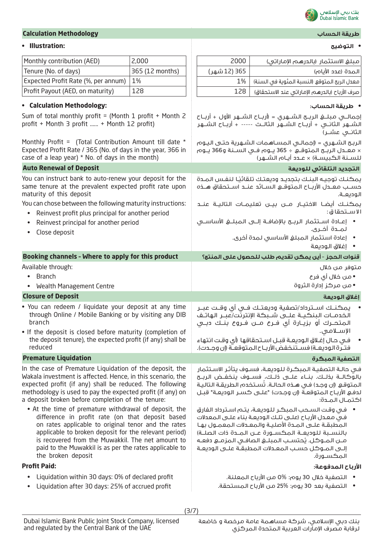

### **• التوضيح :Illustration•**

| <b>Calculation Methodology</b> | طريقة الحساب       |
|--------------------------------|--------------------|
|                                | Dubai Islamic Bank |

| Monthly contribution (AED)                                                                                                                                                                                                                                                                                                                                     | 2,000           | 2000         | مبلغ الاستثمار (بالدرهم الإماراتي)                                                                                                                                                                                                                                                                                                                   |
|----------------------------------------------------------------------------------------------------------------------------------------------------------------------------------------------------------------------------------------------------------------------------------------------------------------------------------------------------------------|-----------------|--------------|------------------------------------------------------------------------------------------------------------------------------------------------------------------------------------------------------------------------------------------------------------------------------------------------------------------------------------------------------|
| Tenure (No. of days)                                                                                                                                                                                                                                                                                                                                           | 365 (12 months) | 365 (12 شهر) | المدة (عدد الأيام)                                                                                                                                                                                                                                                                                                                                   |
| Expected Profit Rate (%, per annum)                                                                                                                                                                                                                                                                                                                            | 1%              | 1%           | معدل الربح المتوقع (النسبة المئوية في السنة)                                                                                                                                                                                                                                                                                                         |
| Profit Payout (AED, on maturity)                                                                                                                                                                                                                                                                                                                               | 128             | 128          | صرف الأرباح (بالدرهم الإماراتي عند الاستحقاق)                                                                                                                                                                                                                                                                                                        |
| • Calculation Methodology:                                                                                                                                                                                                                                                                                                                                     |                 |              | • طريقة الحساب:                                                                                                                                                                                                                                                                                                                                      |
| Sum of total monthly profit = (Month 1 profit + Month 2<br>profit + Month 3 profit  + Month 12 profit)                                                                                                                                                                                                                                                         |                 |              | الشـــهر الثانـــي + أربـــاح الـشـــهر الثالـــث ----- + أربــاح الـشـــهر<br>الثانـــى عشـــر)                                                                                                                                                                                                                                                     |
| Monthly Profit = (Total Contribution Amount till date *<br>Expected Profit Rate / 365 (No. of days in the year, 366 in<br>case of a leap year) * No. of days in the month)                                                                                                                                                                                     |                 |              | الربـِـع الشــهرى = (إجمالــى الـمســاهـمات الشــهرية حتــى الـيـوم<br>× معـدل الربــَة المتوقــع ÷ 365 يــوم فــى الـســنة و366 يــوم<br>للسـنة الكبيسـة) × عـدد أيـام الشـهر)                                                                                                                                                                      |
| <b>Auto Renewal of Deposit</b>                                                                                                                                                                                                                                                                                                                                 |                 |              | التجديد التلقائي للوديعة                                                                                                                                                                                                                                                                                                                             |
| You can instruct bank to auto-renew your deposit for the<br>same tenure at the prevalent expected profit rate upon<br>maturity of this deposit                                                                                                                                                                                                                 |                 |              | يمكنك توجيه البنك بتجديد وديعتك تلقائيًا لنفس المدة<br>حسب معـدل الأربـاح المتوقـع السـائد عنـد اسـتحقاق هــذه<br>الوديعـة.                                                                                                                                                                                                                          |
| You can chose between the following maturity instructions:<br>Reinvest profit plus principal for another period<br>$\bullet$                                                                                                                                                                                                                                   |                 |              | يمكنـك أيضـا الاختيـار مــن بيــن تعليمــات التاليــة عنــد<br>الاستحقاق:                                                                                                                                                                                                                                                                            |
| Reinvest principal for another period<br>Close deposit                                                                                                                                                                                                                                                                                                         |                 |              | • إعــادة اســتثمار الربــح بالإضافــة إلـــى الـمبـلــــفي الأساســــى<br>لمــدة أخــري.                                                                                                                                                                                                                                                            |
|                                                                                                                                                                                                                                                                                                                                                                |                 |              | • إعادة استثمار المبلغ الأساسى لمدة أخرى.<br>• إغلاق الوديعة                                                                                                                                                                                                                                                                                         |
| Booking channels - Where to apply for this product                                                                                                                                                                                                                                                                                                             |                 |              | قنوات الحجز - أين يمكن تقديم طلب للحصول على المنتج؟                                                                                                                                                                                                                                                                                                  |
| Available through:                                                                                                                                                                                                                                                                                                                                             |                 |              | متوفر من خلال                                                                                                                                                                                                                                                                                                                                        |
|                                                                                                                                                                                                                                                                                                                                                                |                 |              |                                                                                                                                                                                                                                                                                                                                                      |
| <b>Branch</b><br>$\bullet$                                                                                                                                                                                                                                                                                                                                     |                 |              | • من خلال أي فرع                                                                                                                                                                                                                                                                                                                                     |
| Wealth Management Centre<br>$\bullet$                                                                                                                                                                                                                                                                                                                          |                 |              | • من مركز إدارة الثروة                                                                                                                                                                                                                                                                                                                               |
| <b>Closure of Deposit</b>                                                                                                                                                                                                                                                                                                                                      |                 |              | إغلاق الوديعة                                                                                                                                                                                                                                                                                                                                        |
| . You can redeem / liquidate your deposit at any time<br>through Online / Mobile Banking or by visiting any DIB<br>branch                                                                                                                                                                                                                                      |                 |              | يمكنــك اســترداد/تصفية وديعتــك فــي أي وقــت عبــر<br>الخدمــات البنكيـــة علــــى شـــبكة الإنترنّت/عبــر الهاتــف<br>المتحــرك أو بزيــارة أي فــرع مـــن فــروع بنــك دبــي                                                                                                                                                                     |
| . If the deposit is closed before maturity (completion of<br>the deposit tenure), the expected profit (if any) shall be                                                                                                                                                                                                                                        |                 |              | الإسلامى.<br>في حـال إغـلاق الـوديعـة قبـل اسـتحقاقها (أي وقـت انتهاء                                                                                                                                                                                                                                                                                |
| reduced                                                                                                                                                                                                                                                                                                                                                        |                 |              | فتـرة الوديعـة) فســتنخفض الأربـاح المتوقعـة (إن وجـدت).                                                                                                                                                                                                                                                                                             |
| <b>Premature Liquidation</b><br>In the case of Premature Liquidation of the deposit, the<br>Wakala investment is affected. Hence, in this scenario, the<br>expected profit (if any) shall be reduced. The following<br>methodology is used to pay the expected profit (if any) on<br>a deposit broken before completion of the tenure:                         |                 |              | التصفية المبكرة<br>فى حالـة التصفيـة الـمبكـرة للـوديعـة، فسـوف يتأثـر الاسـتثمار<br>بالوكالــة بـذلــك. بنــاء علـــى ذلــك، فســـوف ينـخفــض الربــح<br>المتوقع (إن وجد) في هـذه الحالـة. تُسـتخدم الطريقـة التاليـة<br>لدفع الأرباح المتوقعة (إن وجدت) "علـى كسـر الوديعـة" قبـل<br>اكتمال المدة:                                                 |
| • At the time of premature withdrawal of deposit, the<br>difference in profit rate (on that deposit based<br>on rates applicable to original tenor and the rates<br>applicable to broken deposit for the relevant period)<br>is recovered from the Muwakkil. The net amount to<br>paid to the Muwakkil is as per the rates applicable to<br>the broken deposit |                 |              | ● فى وقت السحب المبكر للوديعة، يتم استرداد الفارق<br>في معدل الأرباح (علـى تلـك الوديعـة بناء علـى المعدلات<br>المطبقة علـى المـدة الأصليـة والمعـدلات المعمـول بهـا<br>بالنسـبة للوديعـة المكسـورة عـن المـدة ذات الصلـة)<br>مـن المـوكل. يُحتسـب المبلـغ الصافـى المزمـع دفعـه<br>إلـى المـوكل حسـب المعـدلات المطبقـة علـى الوديعـة<br>المكسـورة. |
| <b>Profit Paid:</b><br>Liquidation within 30 days: 0% of declared profit<br>$\bullet$                                                                                                                                                                                                                                                                          |                 |              | الأرباح المدفوعة:<br>•    التصفية خلال 30 يوم: %0 من الأرباح المعلنة.                                                                                                                                                                                                                                                                                |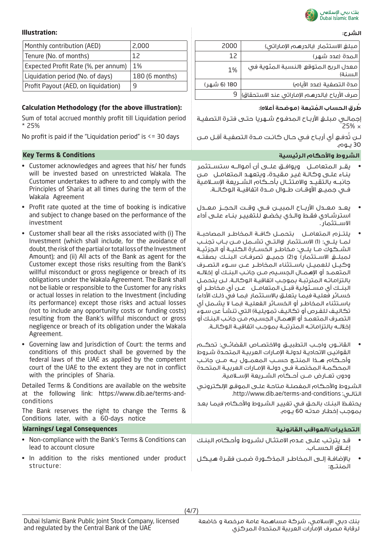

## **الشرح: :Illustration**

| Monthly contribution (AED)          | 2,000          |
|-------------------------------------|----------------|
| Tenure (No. of months)              | 12             |
| Expected Profit Rate (%, per annum) | 1%             |
| Liquidation period (No. of days)    | 180 (6 months) |
| Profit Payout (AED, on liquidation) | q              |

# **ُط ُ رق الحساب المتبعة )موضحة أعاله(: :(illustration above the for (Methodology Calculation**

Sum of total accrued monthly profit till Liquidation period \* 25%

- Customer acknowledges and agrees that his/ her funds will be invested based on unrestricted Wakala. The Customer undertakes to adhere to and comply with the Principles of Sharia at all times during the term of the Wakala Agreement
- Profit rate quoted at the time of booking is indicative and subject to change based on the performance of the investment
- Customer shall bear all the risks associated with (i) The Investment (which shall include, for the avoidance of doubt, the risk of the partial or total loss of the Investment Amount); and (ii) All acts of the Bank as agent for the Customer except those risks resulting from the Bank's willful misconduct or gross negligence or breach of its obligations under the Wakala Agreement. The Bank shall not be liable or responsible to the Customer for any risks or actual losses in relation to the Investment (including its performance) except those risks and actual losses (not to include any opportunity costs or funding costs) resulting from the Bank's willful misconduct or gross negligence or breach of its obligation under the Wakala Agreement.
- Governing law and Jurisdiction of Court: the terms and conditions of this product shall be governed by the federal laws of the UAE as applied by the competent court of the UAE to the extent they are not in conflict with the principles of Sharia.

Detailed Terms & Conditions are available on the website at the following link: https://www.dib.ae/terms-andconditions

The Bank reserves the right to change the Terms & Conditions later, with a 60-days notice

## **التحذيرات/العواقب القانونية Consequences Legal /Warnings**

- Non-compliance with the Bank's Terms & Conditions can lead to account closure
- In addition to the risks mentioned under product structure:

| مبلغ الاستثمار (بالدرهم الإماراتي)                |
|---------------------------------------------------|
| المدة (عدد شهر)                                   |
| معدل الربح المتوقع (النسبة المئوية في<br>ا السنة) |
| مدة التصفية (عدد الأيام)                          |
| صرف الأرباح (بالدرهم الإماراتي عند الاستحقاق)     |
|                                                   |

إجمالـي مبلــغ الأربــاح الـمدفـوع شــهريا حتـي فتـرة الـتصفيـة  $25\% \times$ 

لـن تُدفـع أي أربـاح فـي حـال كانـت مـدة التصفيـة أقـل مـن No profit is paid if the "Liquidation period" is <= 30 days 30 يــوم.

# **الشروط واألحكام الرئيسية Conditions & Terms Key**

- يقــر المتعامــل ويوافــق علــى أن أموالــه ستســتثمر بنـاء علـى وكالـة غيـر مقيـدة، ويتعهـد المتعامـل مـن جانبــه بالتقيــد واالمتثــال بأحــكام الشــريعة اإلســامية فــي جميــع األوقــات طــوال مــدة اتفاقيــة الوكالــة.
- يعــد معــدل األربــاح المبيــن فــي وقــت الحجــز معــدل استرشـادي فقـط والـذي يخضـع للتغييـر بنـاء علـى أداء االســتثمار.
- يلتــزم المتعامــل بتحمــل كافــة المخاطــر المصاحبــة لمــا يلــي: )1( االســتثمار )والتــي تشــمل مــن بــاب تجنــب الشــكوك مــا يلــي: مخاطــر الخســارة الكليــة أو الجزئيــة لمبلــغ االســتثمار( و)2( جميــع تصرفــات البنــك بصفتــه وكيــل للعميــل باســتثناء المخاطــر عــن ســوء التصــرف المتعمــد أو اإلهمــال الجســيم مــن جانــب البنــك أو إخاللــه بالتزاماتـه المترتبـة بموجـب اتفاقيـة الوكالـة. لـن يتحمـل البنــك أي مســئولية قبــل المتعامــل عــن أي مخاطــر أو خسـائر فعليـة فيمـا يتعلـق بالاسـتثمار (بمـا في ذلـك الأداء) باسـتثناء المخاطـر أو الخسـائر الفعليـة )بمـا ال يشـمل أي تكاليـف للفـرص أو تكاليـف تمويليـة) الـتى تنشـأ عن سـوء التصـرف المتعمـد أو اإلهمـال الجسـيم مـن جانـب البنـك أو إخاللــه بالتزاماتــه المترتبــة بموجــب اتفاقيــة الوكالــة.
- القانــون واجــب التطبيــق واالختصــاص القضائــي: تحكــم القوانيـن االتحاديـة لدولـة اإلمـارات العربيـة المتحـدة شـروط وأحــكام هــذا المنتــج حســب المعمــول بــه مــن جانــب المحكمــة المختصــة فــي دولــة اإلمــارات العربيــة المتحــدة ودون تعــارض مــن أحــكام الشــريعة اإلســامية.

الشـروط واألحـكام المفصلـة متاحـة علـى الموقـع اإللكترونـي .http://www.dib.ae/terms-and-conditions :التالـي

يحتفـظ البنـك بالحـق فـي تغييـر الشـروط واألحـكام فيمـا بعـد بموجـب إخطـار مدتـه 60 يـوم.

- قـد يترتـب علـى عـدم االمتثـال لشـروط وأحـكام البنـك إغــاق الحســاب.
- باإلضافـة إلـى المخاطـر المذكـورة ضمـن فقـرة هيـكل المنتــج: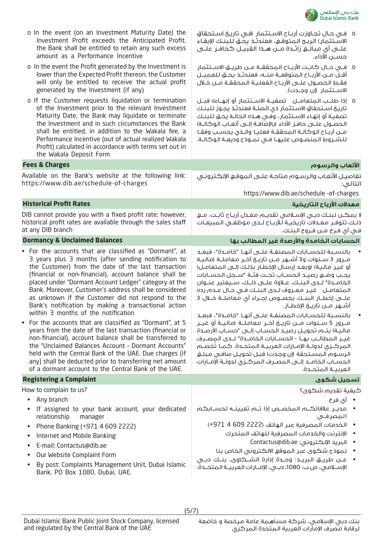

| o In the event (on an Investment Maturity Date) the<br>Investment Profit exceeds the Anticipated Profit,<br>the Bank shall be entitled to retain any such excess<br>amount as a Performance Incentive                                                                                                                                                                                                                                                                                                                                                                                                                                                                                                                                                                                                                                                                                                                            | ٥   فـى حـال تجـاوزت أربـاح الاسـتثمار  (فـى تاريـخ اسـتحقاق<br>الاستثمار) الربح المتوقع، فعندئذ يحتق للبنك الإبقاء<br>حســـن الأداء.                                                                                                                                                                                                                                                                                                                                                                                                                                                                                                                                                                                                                                                                                                                                                                                                                               |
|----------------------------------------------------------------------------------------------------------------------------------------------------------------------------------------------------------------------------------------------------------------------------------------------------------------------------------------------------------------------------------------------------------------------------------------------------------------------------------------------------------------------------------------------------------------------------------------------------------------------------------------------------------------------------------------------------------------------------------------------------------------------------------------------------------------------------------------------------------------------------------------------------------------------------------|---------------------------------------------------------------------------------------------------------------------------------------------------------------------------------------------------------------------------------------------------------------------------------------------------------------------------------------------------------------------------------------------------------------------------------------------------------------------------------------------------------------------------------------------------------------------------------------------------------------------------------------------------------------------------------------------------------------------------------------------------------------------------------------------------------------------------------------------------------------------------------------------------------------------------------------------------------------------|
| o In the event the Profit generated by the Investment is<br>lower than the Expected Profit thereon, the Customer<br>will only be entitled to receive the actual profit<br>generated by the Investment (if any)                                                                                                                                                                                                                                                                                                                                                                                                                                                                                                                                                                                                                                                                                                                   | 0   فــى حــال كانــت الأربــاح الـمحققــة عــن طريــق الاســتثمار<br>أقـلّ مــن الأربــاح المتوقعــة منــه، فعندتـُـذ يحــق للعميــل<br>فقط الحصـول علــى الأربــاح الفعليــة الـمحققــة مــن خــلال<br>الاســتثمار (إن وجــدت).                                                                                                                                                                                                                                                                                                                                                                                                                                                                                                                                                                                                                                                                                                                                   |
| o If the Customer requests liquidation or termination<br>of the Investment prior to the relevant Investment<br>Maturity Date, the Bank may liquidate or terminate<br>the Investment and in such circumstances the Bank<br>shall be entitled, in addition to the Wakala fee, a<br>Performance Incentive (out of actual realized Wakala<br>Profit) calculated in accordance with terms set out in<br>the Wakala Deposit Form                                                                                                                                                                                                                                                                                                                                                                                                                                                                                                       | 0   إذا طلــب الـمتعامــل    تصفيــة الاســتثمار أو إنهــاءه قبــل<br>تاريخ استحقاق الاستثمار ذى الصلة فعندئذ يجوز للبنك<br>تصفية أو إنهاء الاستثمار، وفـَّى هـذه الحالـة يحـق لـلبنـك<br>الحصــول علـــى حافــز الأداء (بالإضّافــة إلـــى أتعــاب الـوكالــة)<br>مـن أربـاح الوكالـة المحققـة فعليـا والـذى يحسـب وفقـا<br>للشروط المنصوص عليها فى نمـوذج وديعـة الوكالـة.                                                                                                                                                                                                                                                                                                                                                                                                                                                                                                                                                                                        |
| <b>Fees &amp; Charges</b>                                                                                                                                                                                                                                                                                                                                                                                                                                                                                                                                                                                                                                                                                                                                                                                                                                                                                                        | الأتعاب والرسوم                                                                                                                                                                                                                                                                                                                                                                                                                                                                                                                                                                                                                                                                                                                                                                                                                                                                                                                                                     |
| Available on the Bank's website at the following link:<br>https://www.dib.ae/schedule-of-charges                                                                                                                                                                                                                                                                                                                                                                                                                                                                                                                                                                                                                                                                                                                                                                                                                                 | تفاصيل الأتعاب والرسوم متاحة علىى الموقع الإلكترونى<br>لتالۍ:                                                                                                                                                                                                                                                                                                                                                                                                                                                                                                                                                                                                                                                                                                                                                                                                                                                                                                       |
|                                                                                                                                                                                                                                                                                                                                                                                                                                                                                                                                                                                                                                                                                                                                                                                                                                                                                                                                  | https://www.dib.ae/schedule -of-charges                                                                                                                                                                                                                                                                                                                                                                                                                                                                                                                                                                                                                                                                                                                                                                                                                                                                                                                             |
| <b>Historical Profit Rates</b>                                                                                                                                                                                                                                                                                                                                                                                                                                                                                                                                                                                                                                                                                                                                                                                                                                                                                                   | معدلات الأرباح التاريخية                                                                                                                                                                                                                                                                                                                                                                                                                                                                                                                                                                                                                                                                                                                                                                                                                                                                                                                                            |
| DIB cannot provide you with a fixed profit rate; however,<br>historical profit rates are available through the sales staff<br>at any DIB branch                                                                                                                                                                                                                                                                                                                                                                                                                                                                                                                                                                                                                                                                                                                                                                                  | ۱ يمكــن لـبـنــك دبــى الإســلامــى تقديــم مـعــدل أربــاح ثابــت، مـــع<br>؛لـك تتوفـر معـدلات تاريخيـة للأربـاح لـدى مـوظفـى الـمبيعـات<br>فـي أي فـرع مــن فـروع الـبنــك.                                                                                                                                                                                                                                                                                                                                                                                                                                                                                                                                                                                                                                                                                                                                                                                     |
| <b>Dormancy &amp; Unclaimed Balances</b>                                                                                                                                                                                                                                                                                                                                                                                                                                                                                                                                                                                                                                                                                                                                                                                                                                                                                         | الحسابات الخامدة والأرصدة غير المطالب بها                                                                                                                                                                                                                                                                                                                                                                                                                                                                                                                                                                                                                                                                                                                                                                                                                                                                                                                           |
| • For the accounts that are classified as "Dormant", at<br>3 years plus 3 months (after sending notification to<br>the Customer) from the date of the last transaction<br>(financial or non-financial), account balance shall be<br>placed under "Dormant Account Ledger" category at the<br>Bank. Moreover, Customer's address shall be considered<br>as unknown if the Customer did not respond to the<br>Bank's notification by making a transactional action<br>within 3 months of the notification<br>• For the accounts that are classified as "Dormant", at 5<br>years from the date of the last transaction (financial or<br>non-financial), account balance shall be transferred to<br>the "Unclaimed Balances Account - Dormant Accounts"<br>held with the Central Bank of the UAE. Due charges (if<br>any) shall be deducted prior to transferring net amount<br>of a dormant account to the Central Bank of the UAE. | بالنسـبة للحسـابات المصنفـة علــى أنهـا  "خامــدة"، فبعـد<br>مـرور 3 سـنوات و3 أشــهر مــن تاريــخ آخـر معاملــة (ماليــة<br>أو غيـر ماليـة) (وبعـد إرسـال الإخطـار بـذلـك إلــى الـمتعامـل)<br>يجب وضع رصيـد الحسـاب تحـت فئـة "سـجل الحسـابات<br>الخامـدة" لـدى البنـك. عـلاوة علــى ذلـك، سـيعتبر عنـوان<br>المتعامـل غيـر معـروف لـدى البنـك فـى حـال عـدم رده<br>علــــى إخطــار الـبنـــك بخصـــوص إجـــراء أي مـعامـلـــة خــلال 3<br>أشـــهر مـــن تاريـــــخ الإخطـــار.<br>بالنسـبة للحسـابات المصنفـة علــى أنهـا "خامــدة"، فبعـد<br>مـــرور 5 ســـنـوات مـــن تاريـــخ آخـــر مـعامـلـــة (مـالـيــة أو غيـــر<br>ماليـة) يتــم تحويــل رصيــد الـحســاب إلـــى "حســاب الأرصــدة<br>غيـر المطالـب بهـا - الحسـابات الـفامــدة" لــدى المصـرف<br>المركـزى لدولــة الإمــارات العربيــة المتحــدة. كمــا تخصــم<br>الرسوم المستحقة (إن وجدت) قبل تحويل صافى مبلغ<br>الحسـاب الخامـد إلــى الـمصـرف الـمركــزى لـدولــة الإمــارات<br>العربيـة المتحـدة. |
| <b>Registering a Complaint</b>                                                                                                                                                                                                                                                                                                                                                                                                                                                                                                                                                                                                                                                                                                                                                                                                                                                                                                   | تسجيل شكوى                                                                                                                                                                                                                                                                                                                                                                                                                                                                                                                                                                                                                                                                                                                                                                                                                                                                                                                                                          |
| How to complain to us?                                                                                                                                                                                                                                                                                                                                                                                                                                                                                                                                                                                                                                                                                                                                                                                                                                                                                                           | ڪيفية تقديم شڪوي؟                                                                                                                                                                                                                                                                                                                                                                                                                                                                                                                                                                                                                                                                                                                                                                                                                                                                                                                                                   |
| Any branch<br>$\bullet$<br>If assigned to your bank account, your dedicated<br>relationship<br>manager<br>Phone Banking (+971 4 609 2222)<br>Internet and Mobile Banking<br>$\bullet$<br>E-mail: Contactus@dib.ae<br>Our Website Complaint Form<br>By post: Complaints Management Unit, Dubai Islamic<br>$\bullet$<br>Bank, PO Box 1080, Dubai, UAE.                                                                                                                                                                                                                                                                                                                                                                                                                                                                                                                                                                             | • أي فرع<br>•     مديــر علاقاتكـــم الـمخصــص إذا تـــم تعيينـــه لـحســـابكــم<br>المصرفى<br>• الخدمات المصرفية عبر الهاتف (2222 609 4 971+)<br>الإنترنت والخدمات المصرفية للهاتف المتحرك<br>• البريد الإلكتروني: Contactus@dib.ae<br>• نموذج شكوى عبر الموقع الالكتروني الخاص بنا<br>الإسلامي، ص.ب: 1080، دبـى، الإمـارات العربيـة المتحـدة.                                                                                                                                                                                                                                                                                                                                                                                                                                                                                                                                                                                                                     |

(5/7)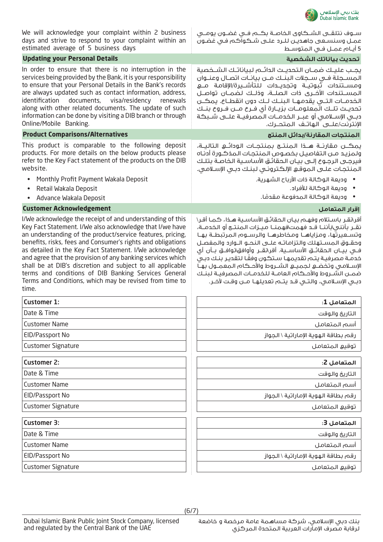

| We will acknowledge your complaint within 2 business<br>days and strive to respond to your complaint within an<br>estimated average of 5 business days                                                                                                                                                                                                                                                                                                                                                                                                                | ســوف نتلقــى الشــكاوى الخاصــة بكــم فــى غضــون يومـــى<br>عمـل وسنسـعـى جاهديـن لـلـرد علــى شـكـوآكـم فـى غضـون<br>5 أيـام عمـل فـى المتوسـط                                                                                                                                                                                                                                                                                                                                                                                                                                                          |
|-----------------------------------------------------------------------------------------------------------------------------------------------------------------------------------------------------------------------------------------------------------------------------------------------------------------------------------------------------------------------------------------------------------------------------------------------------------------------------------------------------------------------------------------------------------------------|------------------------------------------------------------------------------------------------------------------------------------------------------------------------------------------------------------------------------------------------------------------------------------------------------------------------------------------------------------------------------------------------------------------------------------------------------------------------------------------------------------------------------------------------------------------------------------------------------------|
| <b>Updating your Personal Details</b>                                                                                                                                                                                                                                                                                                                                                                                                                                                                                                                                 | تحديث بياناتك الشخصية                                                                                                                                                                                                                                                                                                                                                                                                                                                                                                                                                                                      |
| In order to ensure that there is no interruption in the<br>services being provided by the Bank, it is your responsibility<br>to ensure that your Personal Details in the Bank's records<br>are always updated such as contact information, address,<br>identification<br>documents,<br>visa/residency<br>renewals<br>along with other related documents. The update of such<br>information can be done by visiting a DIB branch or through<br>Online/Mobile Banking.                                                                                                  | يجب عليك ضمـان التحديـث الدائـم لبياناتـك الشـخصية<br>المســجلة فــى ســجلات البنــك مــن بيانــات اتصــال وعنــوان<br>ومســـتندات ثبوتيـــة وتجديـــدات للـتأشـــيرة/الإقامـة مـــع<br>المسـتندات الأخــري ذات الصلــة، وذلــك لضمــان تواصــل<br>الخدمــات التـــى يقدمـهـــا الـبنـــك لـــك دون انقطــاع. يمكـــن<br>تحديــث تلــك الـمعلومــات بزيــارة أي فــرع مـــن فــروع بنــك<br>دبـــى الإســـلامــى أو عبـــر الـــــــدمـــات الـــمــــرىفيـــة عـلــــى شــــبــكــة<br>الإنترنت/علــــي الـهاتــف الـمتحـــرك.                                                                            |
| <b>Product Comparisons/Alternatives</b>                                                                                                                                                                                                                                                                                                                                                                                                                                                                                                                               | المنتجات المقارنة/بدائل المنتج                                                                                                                                                                                                                                                                                                                                                                                                                                                                                                                                                                             |
| This product is comparable to the following deposit<br>products. For more details on the below products please<br>refer to the Key Fact statement of the products on the DIB<br>website.                                                                                                                                                                                                                                                                                                                                                                              | يمكــن مقارئــة هـــذا المنتـــج بمنتجــات الـودائـــع التاليــة،<br>ولمزيد مـن التفاصيل بخصوص المنتجات المذكـورة أدنـاه<br>فيرجى الرجوع إلـى بيـان الحقائـق الأساسـية الخاصـة بتلـك<br>المنتجات علـى الموقـع الإلكترونـى لبنـك دبـى الإسـلامـى.                                                                                                                                                                                                                                                                                                                                                           |
| Monthly Profit Payment Wakala Deposit<br>Retail Wakala Deposit<br>Advance Wakala Deposit<br>$\bullet$                                                                                                                                                                                                                                                                                                                                                                                                                                                                 | • وديعة الوكالة ذات الأرباح الشهرية.<br>• وديعة الوكالة للأفراد.                                                                                                                                                                                                                                                                                                                                                                                                                                                                                                                                           |
| <b>Customer Acknowledgement</b>                                                                                                                                                                                                                                                                                                                                                                                                                                                                                                                                       | إقرار المتعامل                                                                                                                                                                                                                                                                                                                                                                                                                                                                                                                                                                                             |
| I/We acknowledge the receipt of and understanding of this<br>Key Fact Statement. I/We also acknowledge that I/we have<br>an understanding of the product/service features, pricing,<br>benefits, risks, fees and Consumer's rights and obligations<br>as detailed in the Key Fact Statement. I/We acknowledge<br>and agree that the provision of any banking services which<br>shall be at DIB's discretion and subject to all applicable<br>terms and conditions of DIB Banking Services General<br>Terms and Conditions, which may be revised from time to<br>time. | أقر\نقـر باسـتلام وفهـم بيـان الحقائـق الأساسـية هـذا، كـمـا أقـر\<br>نقــر بأننـى\بأننــا قــد فهمت\فهمنــا مـيــزات الـمنتــج أو الـخدمــة،<br>وتسـعيرتها، ومزاياهـا ومخاطرهـا والرســوم المرتبطــة بهـا<br>وحقـوق المسـتهلك والتزاماتـه علـى النحـو الـوارد والمفصـل<br>فــى بيــان الـحقائــق الأساســـية. أقر\تقـــر وأوافق\نوافــق بــأن أي<br>خدمـة مصرفيـة يتـم تقديمهـا سـتكون وفقَـا لتقديـر بنـك دبـى<br>الإسلامي وتخضع لجميع الشـروط والأحـكام المعمـول بهـا<br>ضمـن الشـروط والأحـكام العامـة للخدمـات المصرفيـة لبنـك<br>دبـي الإســلامـي، والـتــي قــد يتــم تعديلـهــا مـــن وقـت لآخــر. |
| <b>Customer 1:</b>                                                                                                                                                                                                                                                                                                                                                                                                                                                                                                                                                    | المتعامل 1:                                                                                                                                                                                                                                                                                                                                                                                                                                                                                                                                                                                                |
| Date & Time                                                                                                                                                                                                                                                                                                                                                                                                                                                                                                                                                           | التاريخ والوقت                                                                                                                                                                                                                                                                                                                                                                                                                                                                                                                                                                                             |
| <b>Customer Name</b>                                                                                                                                                                                                                                                                                                                                                                                                                                                                                                                                                  | أسم المتعامل                                                                                                                                                                                                                                                                                                                                                                                                                                                                                                                                                                                               |
| <b>EID/Passport No</b>                                                                                                                                                                                                                                                                                                                                                                                                                                                                                                                                                | رقم بطاقة الهوية الإماراتية \ الحواز                                                                                                                                                                                                                                                                                                                                                                                                                                                                                                                                                                       |
| <b>Customer Signature</b>                                                                                                                                                                                                                                                                                                                                                                                                                                                                                                                                             | توقيع المتعامل                                                                                                                                                                                                                                                                                                                                                                                                                                                                                                                                                                                             |
| <b>Customer 2:</b>                                                                                                                                                                                                                                                                                                                                                                                                                                                                                                                                                    | المتعامل 2:                                                                                                                                                                                                                                                                                                                                                                                                                                                                                                                                                                                                |
| Date & Time                                                                                                                                                                                                                                                                                                                                                                                                                                                                                                                                                           | التاريخ والوقت                                                                                                                                                                                                                                                                                                                                                                                                                                                                                                                                                                                             |
| <b>Customer Name</b>                                                                                                                                                                                                                                                                                                                                                                                                                                                                                                                                                  | أسم المتعامل                                                                                                                                                                                                                                                                                                                                                                                                                                                                                                                                                                                               |
| <b>EID/Passport No</b>                                                                                                                                                                                                                                                                                                                                                                                                                                                                                                                                                | رقم بطاقة الهوية الإماراتية \ الجواز                                                                                                                                                                                                                                                                                                                                                                                                                                                                                                                                                                       |
| <b>Customer Signature</b>                                                                                                                                                                                                                                                                                                                                                                                                                                                                                                                                             | توقيع المتعامل                                                                                                                                                                                                                                                                                                                                                                                                                                                                                                                                                                                             |
| <b>Customer 3:</b>                                                                                                                                                                                                                                                                                                                                                                                                                                                                                                                                                    | المتعامل 3:                                                                                                                                                                                                                                                                                                                                                                                                                                                                                                                                                                                                |
| Date & Time                                                                                                                                                                                                                                                                                                                                                                                                                                                                                                                                                           | التاريخ والوقت                                                                                                                                                                                                                                                                                                                                                                                                                                                                                                                                                                                             |
| <b>Customer Name</b>                                                                                                                                                                                                                                                                                                                                                                                                                                                                                                                                                  | أسم المتعامل                                                                                                                                                                                                                                                                                                                                                                                                                                                                                                                                                                                               |
| EID/Passport No                                                                                                                                                                                                                                                                                                                                                                                                                                                                                                                                                       |                                                                                                                                                                                                                                                                                                                                                                                                                                                                                                                                                                                                            |
|                                                                                                                                                                                                                                                                                                                                                                                                                                                                                                                                                                       | رقم بطاقة الهوية الإماراتية \ الجواز                                                                                                                                                                                                                                                                                                                                                                                                                                                                                                                                                                       |